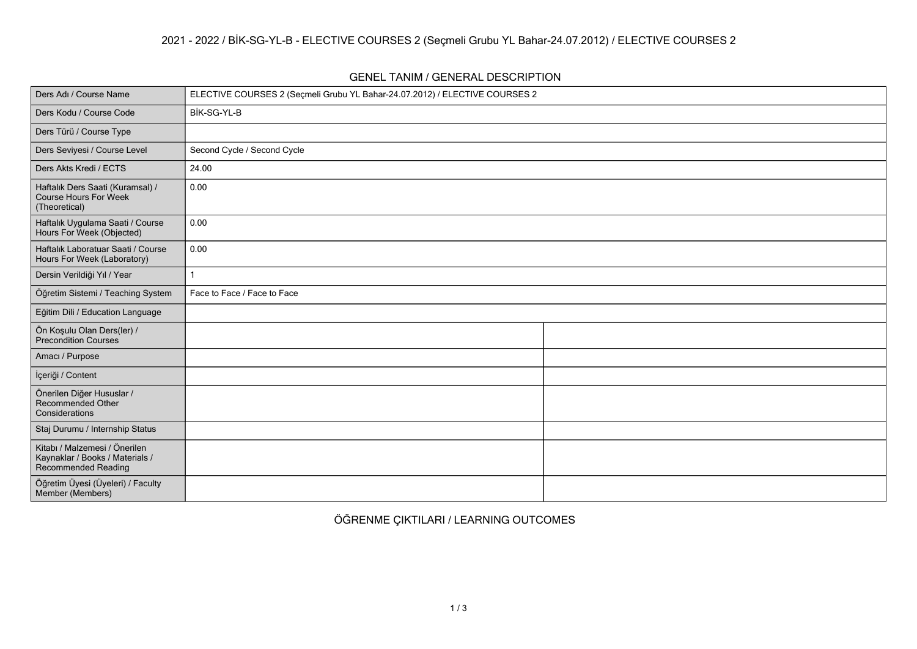## **GENEL TANIM / GENERAL DESCRIPTION**

| Ders Adı / Course Name                                                                  | ELECTIVE COURSES 2 (Seçmeli Grubu YL Bahar-24.07.2012) / ELECTIVE COURSES 2 |  |
|-----------------------------------------------------------------------------------------|-----------------------------------------------------------------------------|--|
| Ders Kodu / Course Code                                                                 | BİK-SG-YL-B                                                                 |  |
| Ders Türü / Course Type                                                                 |                                                                             |  |
| Ders Seviyesi / Course Level                                                            | Second Cycle / Second Cycle                                                 |  |
| Ders Akts Kredi / ECTS                                                                  | 24.00                                                                       |  |
| Haftalık Ders Saati (Kuramsal) /<br>Course Hours For Week<br>(Theoretical)              | 0.00                                                                        |  |
| Haftalık Uygulama Saati / Course<br>Hours For Week (Objected)                           | 0.00                                                                        |  |
| Haftalık Laboratuar Saati / Course<br>Hours For Week (Laboratory)                       | 0.00                                                                        |  |
| Dersin Verildiği Yıl / Year                                                             |                                                                             |  |
| Öğretim Sistemi / Teaching System                                                       | Face to Face / Face to Face                                                 |  |
| Eğitim Dili / Education Language                                                        |                                                                             |  |
| Ön Koşulu Olan Ders(ler) /<br>Precondition Courses                                      |                                                                             |  |
| Amacı / Purpose                                                                         |                                                                             |  |
| İçeriği / Content                                                                       |                                                                             |  |
| Önerilen Diğer Hususlar /<br><b>Recommended Other</b><br>Considerations                 |                                                                             |  |
| Staj Durumu / Internship Status                                                         |                                                                             |  |
| Kitabı / Malzemesi / Önerilen<br>Kaynaklar / Books / Materials /<br>Recommended Reading |                                                                             |  |
| Öğretim Üyesi (Üyeleri) / Faculty<br>Member (Members)                                   |                                                                             |  |

**ÖĞRENME ÇIKTILARI / LEARNING OUTCOMES**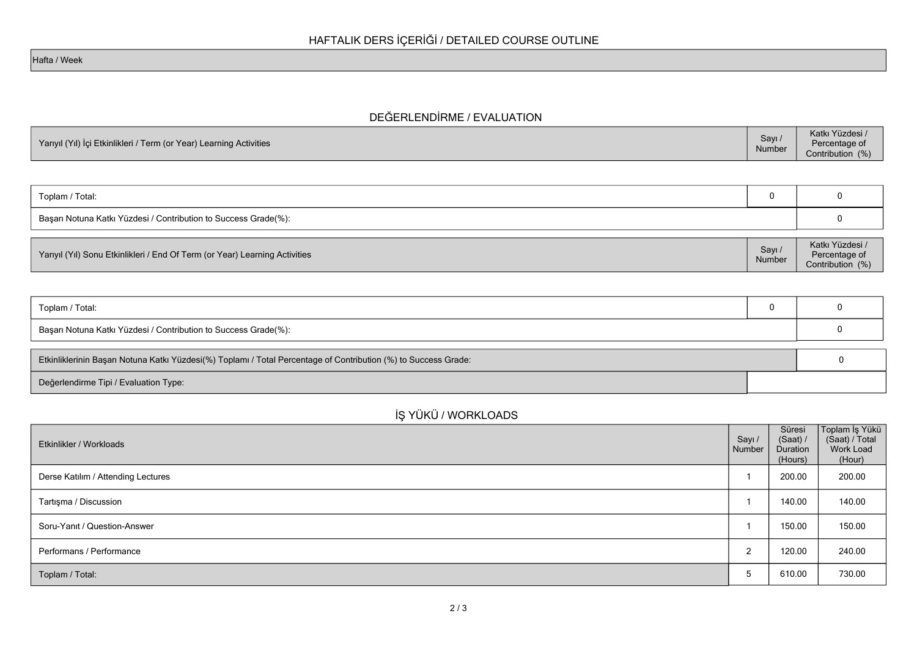## **DEĞERLENDİRME / EVALUATION**

| Yarıyıl (Yıl) İçi Etkinlikleri / Term (or Year) Learning Activities | Sayı <sub>1</sub><br>Number | Katkı Yüzdesi /<br>Percentage of<br>Contribution (%) |
|---------------------------------------------------------------------|-----------------------------|------------------------------------------------------|
|---------------------------------------------------------------------|-----------------------------|------------------------------------------------------|

| Toplam / Total:                                                 |  |  |
|-----------------------------------------------------------------|--|--|
| Başarı Notuna Katkı Yüzdesi / Contribution to Success Grade(%): |  |  |
|                                                                 |  |  |

| Yarıyıl (Yıl) Sonu Etkinlikleri / End Of Term (or Year) Learning Activities | Sayı,<br>Number | Katkı Yüzdesi /<br>Percentage of<br>Contribution (%) |
|-----------------------------------------------------------------------------|-----------------|------------------------------------------------------|
|-----------------------------------------------------------------------------|-----------------|------------------------------------------------------|

| Toplam / Total:                                                                                                 |  |  |
|-----------------------------------------------------------------------------------------------------------------|--|--|
| Başarı Notuna Katkı Yüzdesi / Contribution to Success Grade(%):                                                 |  |  |
| Etkinliklerinin Başarı Notuna Katkı Yüzdesi(%) Toplamı / Total Percentage of Contribution (%) to Success Grade: |  |  |
| Değerlendirme Tipi / Evaluation Type:                                                                           |  |  |

## **İŞ YÜKÜ / WORKLOADS**

| Etkinlikler / Workloads            | Sayı /<br>Number | Süresi<br>(Saat) /<br>Duration<br>(Hours) | Toplam İş Yükü<br>(Saat) / Total<br>Work Load<br>(Hour) |
|------------------------------------|------------------|-------------------------------------------|---------------------------------------------------------|
| Derse Katılım / Attending Lectures |                  | 200.00                                    | 200.00                                                  |
| Tartışma / Discussion              |                  | 140.00                                    | 140.00                                                  |
| Soru-Yanıt / Question-Answer       |                  | 150.00                                    | 150.00                                                  |
| Performans / Performance           | 2                | 120.00                                    | 240.00                                                  |
| Toplam / Total:                    | 5                | 610.00                                    | 730.00                                                  |